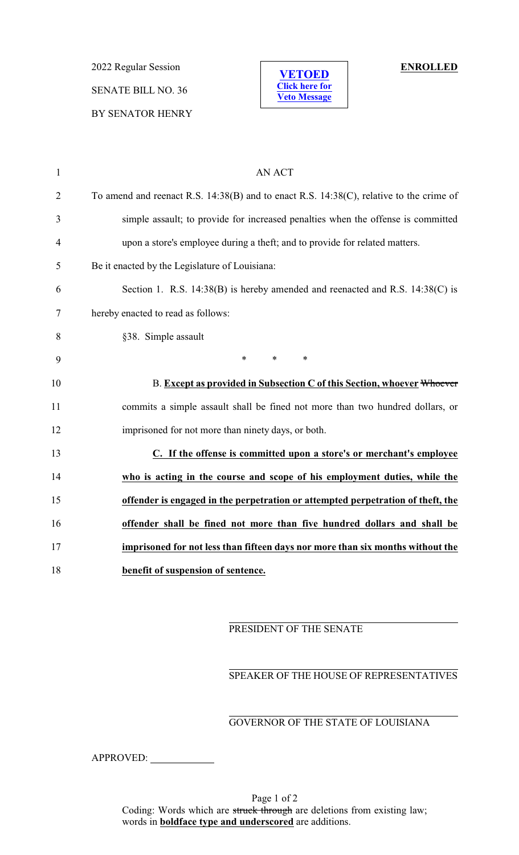2022 Regular Session **ENROLLED** SENATE BILL NO. 36 BY SENATOR HENRY



| $\mathbf{1}$   | <b>AN ACT</b>                                                                                |
|----------------|----------------------------------------------------------------------------------------------|
| $\overline{2}$ | To amend and reenact R.S. $14:38(B)$ and to enact R.S. $14:38(C)$ , relative to the crime of |
| 3              | simple assault; to provide for increased penalties when the offense is committed             |
| $\overline{4}$ | upon a store's employee during a theft; and to provide for related matters.                  |
| 5              | Be it enacted by the Legislature of Louisiana:                                               |
| 6              | Section 1. R.S. 14:38(B) is hereby amended and reenacted and R.S. 14:38(C) is                |
| 7              | hereby enacted to read as follows:                                                           |
| 8              | §38. Simple assault                                                                          |
| 9              | $\ast$<br>$\ast$<br>$\ast$                                                                   |
| 10             | B. Except as provided in Subsection C of this Section, whoever Whoever                       |
| 11             | commits a simple assault shall be fined not more than two hundred dollars, or                |
| 12             | imprisoned for not more than ninety days, or both.                                           |
| 13             | C. If the offense is committed upon a store's or merchant's employee                         |
| 14             | who is acting in the course and scope of his employment duties, while the                    |
| 15             | offender is engaged in the perpetration or attempted perpetration of theft, the              |
| 16             | offender shall be fined not more than five hundred dollars and shall be                      |
| 17             | imprisoned for not less than fifteen days nor more than six months without the               |
| 18             | benefit of suspension of sentence.                                                           |

## PRESIDENT OF THE SENATE

## SPEAKER OF THE HOUSE OF REPRESENTATIVES

## GOVERNOR OF THE STATE OF LOUISIANA

APPROVED: